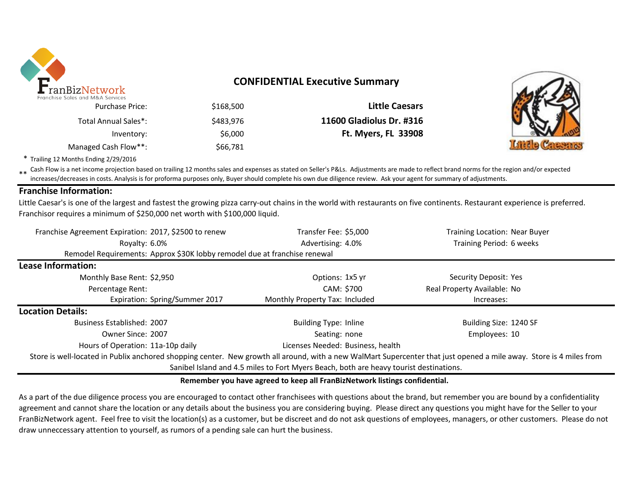

# **CONFIDENTIAL Executive Summary**

\$168,500 **Little Caesars** \$483,976 **11600 Gladiolus Dr. #316** Inventory: \$6,000 **Ft. Myers, FL 33908** Managed Cash Flow\*\*: \$66,781 Total Annual Sales\*:



\* Trailing 12 Months Ending 2/29/2016

\*\* Cash Flow is a net income projection based on trailing 12 months sales and expenses as stated on Seller's P&Ls. Adjustments are made to reflect brand norms for the region and/or expected increases/decreases in costs. Analysis is for proforma purposes only, Buyer should complete his own due diligence review. Ask your agent for summary of adjustments.

### **Franchise Information:**

Little Caesar's is one of the largest and fastest the growing pizza carry-out chains in the world with restaurants on five continents. Restaurant experience is preferred. Franchisor requires a minimum of \$250,000 net worth with \$100,000 liquid.

| Franchise Agreement Expiration: 2017, \$2500 to renew                                                                                                               | Transfer Fee: \$5,000             | Training Location: Near Buyer |  |  |  |  |
|---------------------------------------------------------------------------------------------------------------------------------------------------------------------|-----------------------------------|-------------------------------|--|--|--|--|
| Royalty: 6.0%                                                                                                                                                       | Advertising: 4.0%                 | Training Period: 6 weeks      |  |  |  |  |
| Remodel Requirements: Approx \$30K lobby remodel due at franchise renewal                                                                                           |                                   |                               |  |  |  |  |
| <b>Lease Information:</b>                                                                                                                                           |                                   |                               |  |  |  |  |
| Monthly Base Rent: \$2,950                                                                                                                                          | Options: 1x5 yr                   | Security Deposit: Yes         |  |  |  |  |
| Percentage Rent:                                                                                                                                                    | CAM: \$700                        | Real Property Available: No   |  |  |  |  |
| Expiration: Spring/Summer 2017                                                                                                                                      | Monthly Property Tax: Included    | Increases:                    |  |  |  |  |
| <b>Location Details:</b>                                                                                                                                            |                                   |                               |  |  |  |  |
| <b>Business Established: 2007</b>                                                                                                                                   | <b>Building Type: Inline</b>      | Building Size: 1240 SF        |  |  |  |  |
| Owner Since: 2007                                                                                                                                                   | Seating: none                     | Employees: 10                 |  |  |  |  |
| Hours of Operation: 11a-10p daily                                                                                                                                   | Licenses Needed: Business, health |                               |  |  |  |  |
| Store is well-located in Publix anchored shopping center. New growth all around, with a new WalMart Supercenter that just opened a mile away. Store is 4 miles from |                                   |                               |  |  |  |  |
| Sanibel Island and 4.5 miles to Fort Myers Beach, both are heavy tourist destinations.                                                                              |                                   |                               |  |  |  |  |

#### **Remember you have agreed to keep all FranBizNetwork listings confidential.**

As a part of the due diligence process you are encouraged to contact other franchisees with questions about the brand, but remember you are bound by a confidentiality agreement and cannot share the location or any details about the business you are considering buying. Please direct any questions you might have for the Seller to your FranBizNetwork agent. Feel free to visit the location(s) as a customer, but be discreet and do not ask questions of employees, managers, or other customers. Please do not draw unneccessary attention to yourself, as rumors of a pending sale can hurt the business.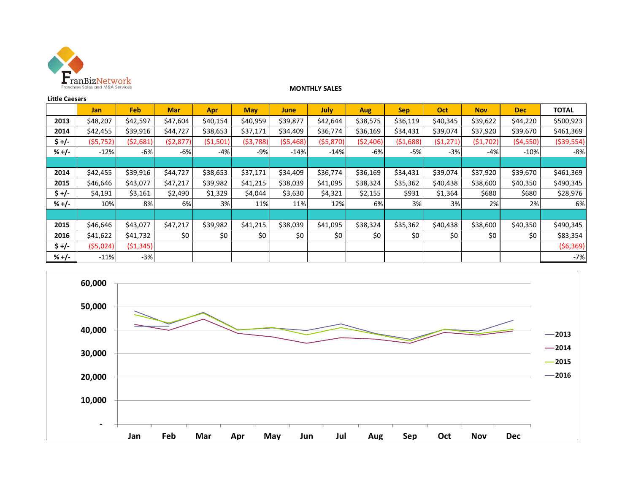

#### **MONTHLY SALES**

| <b>Little Caesars</b> |            |            |            |            |            |           |          |            |            |           |            |            |              |
|-----------------------|------------|------------|------------|------------|------------|-----------|----------|------------|------------|-----------|------------|------------|--------------|
|                       | <b>Jan</b> | <b>Feb</b> | <b>Mar</b> | <b>Apr</b> | <b>May</b> | June      | July     | <b>Aug</b> | <b>Sep</b> | Oct       | <b>Nov</b> | <b>Dec</b> | <b>TOTAL</b> |
| 2013                  | \$48,207   | \$42,597   | \$47,604   | \$40,154   | \$40,959   | \$39,877  | \$42,644 | \$38,575   | \$36,119   | \$40,345  | \$39,622   | \$44,220   | \$500,923    |
| 2014                  | \$42,455   | \$39,916   | \$44,727   | \$38,653   | \$37,171   | \$34,409  | \$36,774 | \$36,169   | \$34,431   | \$39,074  | \$37,920   | \$39,670   | \$461,369    |
| $$+/-$                | (55, 752)  | (52,681)   | ( \$2,877) | (51,501)   | (53, 788)  | (\$5,468) | (55,870) | (52, 406)  | (51,688)   | (51, 271) | (51, 702)  | (54, 550)  | ( \$39,554)  |
| $% +/-$               | $-12%$     | $-6%$      | -6%        | $-4%$      | -9%        | $-14%$    | $-14%$   | -6%        | -5%        | $-3%$     | -4%        | $-10%$     | $-8%$        |
|                       |            |            |            |            |            |           |          |            |            |           |            |            |              |
| 2014                  | \$42,455   | \$39,916   | \$44,727   | \$38,653   | \$37,171   | \$34,409  | \$36,774 | \$36,169   | \$34,431   | \$39,074  | \$37,920   | \$39,670   | \$461,369    |
| 2015                  | \$46,646   | \$43,077   | \$47,217   | \$39,982   | \$41,215   | \$38,039  | \$41,095 | \$38,324   | \$35,362   | \$40,438  | \$38,600   | \$40,350   | \$490,345    |
| \$ +/-                | \$4,191    | \$3,161    | \$2,490    | \$1,329    | \$4,044    | \$3,630   | \$4,321  | \$2,155    | \$931      | \$1,364   | \$680      | \$680      | \$28,976     |
| $% +/-$               | 10%        | 8%         | 6%         | 3%         | 11%        | 11%       | 12%      | 6%         | 3%         | 3%        | 2%         | 2%         | 6%           |
|                       |            |            |            |            |            |           |          |            |            |           |            |            |              |
| 2015                  | \$46,646   | \$43,077   | \$47,217   | \$39,982   | \$41,215   | \$38,039  | \$41,095 | \$38,324   | \$35,362   | \$40,438  | \$38,600   | \$40,350   | \$490,345    |
| 2016                  | \$41,622   | \$41,732   | \$0\$      | \$0        | \$0        | \$0       | \$0      | \$0        | \$0        | \$0       | \$0        | \$0        | \$83,354     |
| \$ +/-                | (55,024)   | ( \$1,345) |            |            |            |           |          |            |            |           |            |            | (56, 369)    |
| $% +/-$               | $-11%$     | $-3%$      |            |            |            |           |          |            |            |           |            |            | $-7%$        |